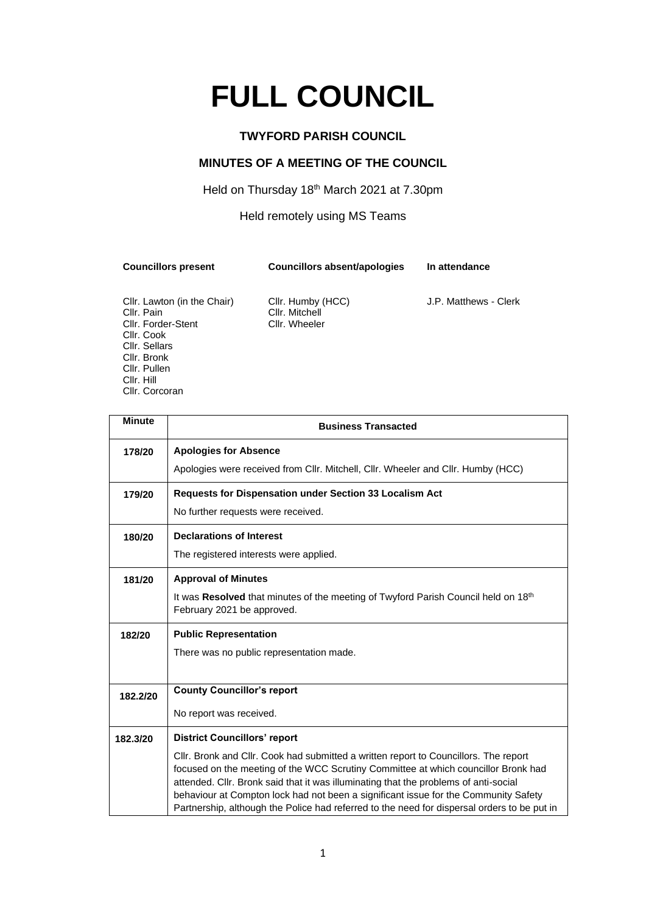# **FULL COUNCIL**

## **TWYFORD PARISH COUNCIL**

# **MINUTES OF A MEETING OF THE COUNCIL**

### Held on Thursday 18<sup>th</sup> March 2021 at 7.30pm

### Held remotely using MS Teams

**Councillors present Councillors absent/apologies In attendance**

Cllr. Forder-Stent Cllr. Cook Cllr. Sellars Cllr. Bronk Cllr. Pullen Cllr. Hill Cllr. Corcoran

Cllr. Lawton (in the Chair) Cllr. Humby (HCC) J.P. Matthews - Clerk<br>Cllr. Pain Cllr. Mitchell Cllr. Mitchell<br>Cllr. Wheeler

| <b>Minute</b> | <b>Business Transacted</b>                                                                                                                                                                                                                                                                                                                                                                                                                               |  |  |
|---------------|----------------------------------------------------------------------------------------------------------------------------------------------------------------------------------------------------------------------------------------------------------------------------------------------------------------------------------------------------------------------------------------------------------------------------------------------------------|--|--|
| 178/20        | <b>Apologies for Absence</b>                                                                                                                                                                                                                                                                                                                                                                                                                             |  |  |
|               | Apologies were received from Cllr. Mitchell, Cllr. Wheeler and Cllr. Humby (HCC)                                                                                                                                                                                                                                                                                                                                                                         |  |  |
| 179/20        | Requests for Dispensation under Section 33 Localism Act                                                                                                                                                                                                                                                                                                                                                                                                  |  |  |
|               | No further requests were received.                                                                                                                                                                                                                                                                                                                                                                                                                       |  |  |
| 180/20        | <b>Declarations of Interest</b>                                                                                                                                                                                                                                                                                                                                                                                                                          |  |  |
|               | The registered interests were applied.                                                                                                                                                                                                                                                                                                                                                                                                                   |  |  |
| 181/20        | <b>Approval of Minutes</b>                                                                                                                                                                                                                                                                                                                                                                                                                               |  |  |
|               | It was Resolved that minutes of the meeting of Twyford Parish Council held on 18 <sup>th</sup><br>February 2021 be approved.                                                                                                                                                                                                                                                                                                                             |  |  |
| 182/20        | <b>Public Representation</b>                                                                                                                                                                                                                                                                                                                                                                                                                             |  |  |
|               | There was no public representation made.                                                                                                                                                                                                                                                                                                                                                                                                                 |  |  |
|               |                                                                                                                                                                                                                                                                                                                                                                                                                                                          |  |  |
| 182.2/20      | <b>County Councillor's report</b>                                                                                                                                                                                                                                                                                                                                                                                                                        |  |  |
|               | No report was received.                                                                                                                                                                                                                                                                                                                                                                                                                                  |  |  |
| 182.3/20      | <b>District Councillors' report</b>                                                                                                                                                                                                                                                                                                                                                                                                                      |  |  |
|               | CIIr. Bronk and CIIr. Cook had submitted a written report to Councillors. The report<br>focused on the meeting of the WCC Scrutiny Committee at which councillor Bronk had<br>attended. Cllr. Bronk said that it was illuminating that the problems of anti-social<br>behaviour at Compton lock had not been a significant issue for the Community Safety<br>Partnership, although the Police had referred to the need for dispersal orders to be put in |  |  |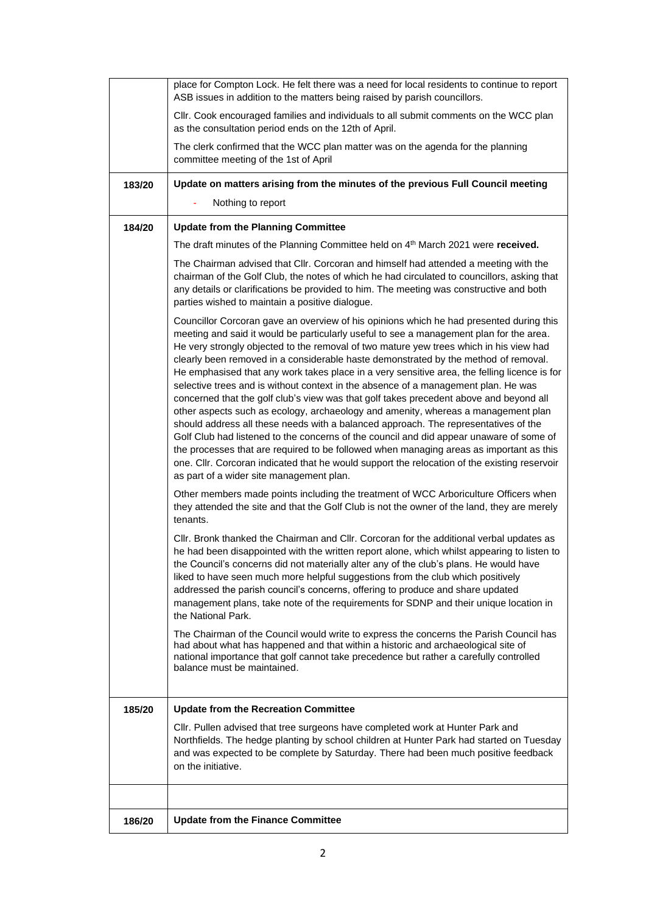| 186/20 | <b>Update from the Finance Committee</b>                                                                                                                                                                                                                                                                                                                                                                                                                                                                                                                                                                                                                                                                                                                                                                                                                                                                                                                                                                                                                                                                                                                          |
|--------|-------------------------------------------------------------------------------------------------------------------------------------------------------------------------------------------------------------------------------------------------------------------------------------------------------------------------------------------------------------------------------------------------------------------------------------------------------------------------------------------------------------------------------------------------------------------------------------------------------------------------------------------------------------------------------------------------------------------------------------------------------------------------------------------------------------------------------------------------------------------------------------------------------------------------------------------------------------------------------------------------------------------------------------------------------------------------------------------------------------------------------------------------------------------|
| 185/20 | <b>Update from the Recreation Committee</b><br>CIIr. Pullen advised that tree surgeons have completed work at Hunter Park and<br>Northfields. The hedge planting by school children at Hunter Park had started on Tuesday<br>and was expected to be complete by Saturday. There had been much positive feedback<br>on the initiative.                                                                                                                                                                                                                                                                                                                                                                                                                                                                                                                                                                                                                                                                                                                                                                                                                             |
|        | The Chairman of the Council would write to express the concerns the Parish Council has<br>had about what has happened and that within a historic and archaeological site of<br>national importance that golf cannot take precedence but rather a carefully controlled<br>balance must be maintained.                                                                                                                                                                                                                                                                                                                                                                                                                                                                                                                                                                                                                                                                                                                                                                                                                                                              |
|        | Other members made points including the treatment of WCC Arboriculture Officers when<br>they attended the site and that the Golf Club is not the owner of the land, they are merely<br>tenants.<br>Cllr. Bronk thanked the Chairman and Cllr. Corcoran for the additional verbal updates as<br>he had been disappointed with the written report alone, which whilst appearing to listen to<br>the Council's concerns did not materially alter any of the club's plans. He would have<br>liked to have seen much more helpful suggestions from the club which positively<br>addressed the parish council's concerns, offering to produce and share updated<br>management plans, take note of the requirements for SDNP and their unique location in<br>the National Park.                                                                                                                                                                                                                                                                                                                                                                                          |
|        | Councillor Corcoran gave an overview of his opinions which he had presented during this<br>meeting and said it would be particularly useful to see a management plan for the area.<br>He very strongly objected to the removal of two mature yew trees which in his view had<br>clearly been removed in a considerable haste demonstrated by the method of removal.<br>He emphasised that any work takes place in a very sensitive area, the felling licence is for<br>selective trees and is without context in the absence of a management plan. He was<br>concerned that the golf club's view was that golf takes precedent above and beyond all<br>other aspects such as ecology, archaeology and amenity, whereas a management plan<br>should address all these needs with a balanced approach. The representatives of the<br>Golf Club had listened to the concerns of the council and did appear unaware of some of<br>the processes that are required to be followed when managing areas as important as this<br>one. Cllr. Corcoran indicated that he would support the relocation of the existing reservoir<br>as part of a wider site management plan. |
|        | The draft minutes of the Planning Committee held on 4 <sup>th</sup> March 2021 were received.<br>The Chairman advised that Cllr. Corcoran and himself had attended a meeting with the<br>chairman of the Golf Club, the notes of which he had circulated to councillors, asking that<br>any details or clarifications be provided to him. The meeting was constructive and both<br>parties wished to maintain a positive dialogue.                                                                                                                                                                                                                                                                                                                                                                                                                                                                                                                                                                                                                                                                                                                                |
| 184/20 | <b>Update from the Planning Committee</b>                                                                                                                                                                                                                                                                                                                                                                                                                                                                                                                                                                                                                                                                                                                                                                                                                                                                                                                                                                                                                                                                                                                         |
| 183/20 | Update on matters arising from the minutes of the previous Full Council meeting<br>Nothing to report                                                                                                                                                                                                                                                                                                                                                                                                                                                                                                                                                                                                                                                                                                                                                                                                                                                                                                                                                                                                                                                              |
|        | committee meeting of the 1st of April                                                                                                                                                                                                                                                                                                                                                                                                                                                                                                                                                                                                                                                                                                                                                                                                                                                                                                                                                                                                                                                                                                                             |
|        | as the consultation period ends on the 12th of April.<br>The clerk confirmed that the WCC plan matter was on the agenda for the planning                                                                                                                                                                                                                                                                                                                                                                                                                                                                                                                                                                                                                                                                                                                                                                                                                                                                                                                                                                                                                          |
|        | ASB issues in addition to the matters being raised by parish councillors.<br>CIIr. Cook encouraged families and individuals to all submit comments on the WCC plan                                                                                                                                                                                                                                                                                                                                                                                                                                                                                                                                                                                                                                                                                                                                                                                                                                                                                                                                                                                                |
|        | place for Compton Lock. He felt there was a need for local residents to continue to report                                                                                                                                                                                                                                                                                                                                                                                                                                                                                                                                                                                                                                                                                                                                                                                                                                                                                                                                                                                                                                                                        |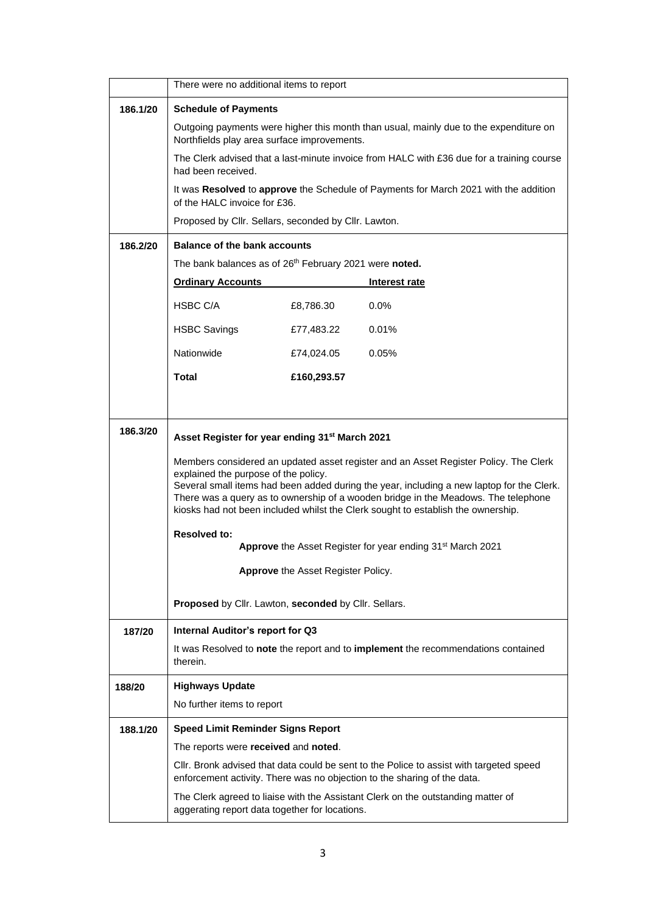|          | There were no additional items to report                                                                                                                                                                                                                                                                                                                                                            |             |                                                                                                                                                                     |  |
|----------|-----------------------------------------------------------------------------------------------------------------------------------------------------------------------------------------------------------------------------------------------------------------------------------------------------------------------------------------------------------------------------------------------------|-------------|---------------------------------------------------------------------------------------------------------------------------------------------------------------------|--|
| 186.1/20 | <b>Schedule of Payments</b>                                                                                                                                                                                                                                                                                                                                                                         |             |                                                                                                                                                                     |  |
|          | Outgoing payments were higher this month than usual, mainly due to the expenditure on<br>Northfields play area surface improvements.                                                                                                                                                                                                                                                                |             |                                                                                                                                                                     |  |
|          | The Clerk advised that a last-minute invoice from HALC with £36 due for a training course<br>had been received.                                                                                                                                                                                                                                                                                     |             |                                                                                                                                                                     |  |
|          | of the HALC invoice for £36.                                                                                                                                                                                                                                                                                                                                                                        |             | It was Resolved to approve the Schedule of Payments for March 2021 with the addition                                                                                |  |
|          | Proposed by Cllr. Sellars, seconded by Cllr. Lawton.                                                                                                                                                                                                                                                                                                                                                |             |                                                                                                                                                                     |  |
| 186.2/20 | <b>Balance of the bank accounts</b>                                                                                                                                                                                                                                                                                                                                                                 |             |                                                                                                                                                                     |  |
|          | The bank balances as of 26th February 2021 were noted.                                                                                                                                                                                                                                                                                                                                              |             |                                                                                                                                                                     |  |
|          | <b>Ordinary Accounts</b>                                                                                                                                                                                                                                                                                                                                                                            |             | Interest rate                                                                                                                                                       |  |
|          | HSBC C/A                                                                                                                                                                                                                                                                                                                                                                                            | £8,786.30   | 0.0%                                                                                                                                                                |  |
|          | <b>HSBC Savings</b>                                                                                                                                                                                                                                                                                                                                                                                 | £77,483.22  | 0.01%                                                                                                                                                               |  |
|          | Nationwide                                                                                                                                                                                                                                                                                                                                                                                          | £74,024.05  | 0.05%                                                                                                                                                               |  |
|          | <b>Total</b>                                                                                                                                                                                                                                                                                                                                                                                        | £160,293.57 |                                                                                                                                                                     |  |
|          |                                                                                                                                                                                                                                                                                                                                                                                                     |             |                                                                                                                                                                     |  |
| 186.3/20 |                                                                                                                                                                                                                                                                                                                                                                                                     |             |                                                                                                                                                                     |  |
|          | Asset Register for year ending 31 <sup>st</sup> March 2021                                                                                                                                                                                                                                                                                                                                          |             |                                                                                                                                                                     |  |
|          | Members considered an updated asset register and an Asset Register Policy. The Clerk<br>explained the purpose of the policy.<br>Several small items had been added during the year, including a new laptop for the Clerk.<br>There was a query as to ownership of a wooden bridge in the Meadows. The telephone<br>kiosks had not been included whilst the Clerk sought to establish the ownership. |             |                                                                                                                                                                     |  |
|          | <b>Resolved to:</b><br>Approve the Asset Register for year ending 31 <sup>st</sup> March 2021                                                                                                                                                                                                                                                                                                       |             |                                                                                                                                                                     |  |
|          | Approve the Asset Register Policy.                                                                                                                                                                                                                                                                                                                                                                  |             |                                                                                                                                                                     |  |
|          | Proposed by Cllr. Lawton, seconded by Cllr. Sellars.                                                                                                                                                                                                                                                                                                                                                |             |                                                                                                                                                                     |  |
| 187/20   | Internal Auditor's report for Q3                                                                                                                                                                                                                                                                                                                                                                    |             |                                                                                                                                                                     |  |
|          | therein.                                                                                                                                                                                                                                                                                                                                                                                            |             | It was Resolved to note the report and to implement the recommendations contained                                                                                   |  |
| 188/20   | <b>Highways Update</b>                                                                                                                                                                                                                                                                                                                                                                              |             |                                                                                                                                                                     |  |
|          | No further items to report                                                                                                                                                                                                                                                                                                                                                                          |             |                                                                                                                                                                     |  |
| 188.1/20 | <b>Speed Limit Reminder Signs Report</b>                                                                                                                                                                                                                                                                                                                                                            |             |                                                                                                                                                                     |  |
|          | The reports were received and noted.                                                                                                                                                                                                                                                                                                                                                                |             |                                                                                                                                                                     |  |
|          |                                                                                                                                                                                                                                                                                                                                                                                                     |             | CIIr. Bronk advised that data could be sent to the Police to assist with targeted speed<br>enforcement activity. There was no objection to the sharing of the data. |  |
|          | aggerating report data together for locations.                                                                                                                                                                                                                                                                                                                                                      |             | The Clerk agreed to liaise with the Assistant Clerk on the outstanding matter of                                                                                    |  |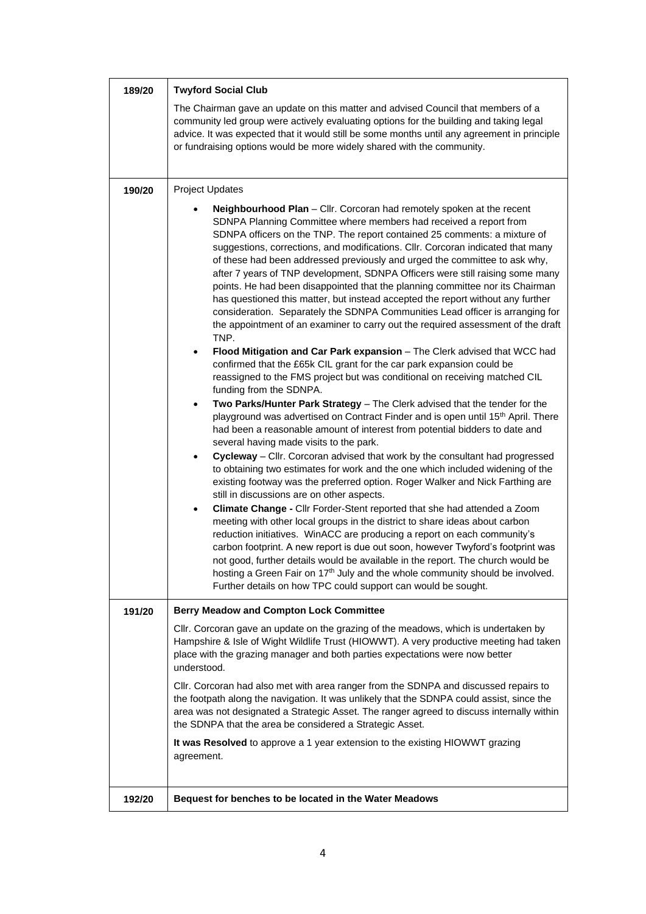| 189/20 | <b>Twyford Social Club</b>                                                                                                                                                                                                                                                                                                                                                                                                                                                                                                                                                                                                                                                                                                                                                                                                                                                                                                                                                                                                                                                                                                                                                                                                                                                                                                                                                                                                                                                                                                                                                                                                                                                                                                                                                                                                                                                                                                                                                                                                                                                                                                                                                                                                                                                                                               |  |  |
|--------|--------------------------------------------------------------------------------------------------------------------------------------------------------------------------------------------------------------------------------------------------------------------------------------------------------------------------------------------------------------------------------------------------------------------------------------------------------------------------------------------------------------------------------------------------------------------------------------------------------------------------------------------------------------------------------------------------------------------------------------------------------------------------------------------------------------------------------------------------------------------------------------------------------------------------------------------------------------------------------------------------------------------------------------------------------------------------------------------------------------------------------------------------------------------------------------------------------------------------------------------------------------------------------------------------------------------------------------------------------------------------------------------------------------------------------------------------------------------------------------------------------------------------------------------------------------------------------------------------------------------------------------------------------------------------------------------------------------------------------------------------------------------------------------------------------------------------------------------------------------------------------------------------------------------------------------------------------------------------------------------------------------------------------------------------------------------------------------------------------------------------------------------------------------------------------------------------------------------------------------------------------------------------------------------------------------------------|--|--|
|        | The Chairman gave an update on this matter and advised Council that members of a<br>community led group were actively evaluating options for the building and taking legal<br>advice. It was expected that it would still be some months until any agreement in principle<br>or fundraising options would be more widely shared with the community.                                                                                                                                                                                                                                                                                                                                                                                                                                                                                                                                                                                                                                                                                                                                                                                                                                                                                                                                                                                                                                                                                                                                                                                                                                                                                                                                                                                                                                                                                                                                                                                                                                                                                                                                                                                                                                                                                                                                                                      |  |  |
| 190/20 | <b>Project Updates</b>                                                                                                                                                                                                                                                                                                                                                                                                                                                                                                                                                                                                                                                                                                                                                                                                                                                                                                                                                                                                                                                                                                                                                                                                                                                                                                                                                                                                                                                                                                                                                                                                                                                                                                                                                                                                                                                                                                                                                                                                                                                                                                                                                                                                                                                                                                   |  |  |
|        | Neighbourhood Plan - Cllr. Corcoran had remotely spoken at the recent<br>SDNPA Planning Committee where members had received a report from<br>SDNPA officers on the TNP. The report contained 25 comments: a mixture of<br>suggestions, corrections, and modifications. Cllr. Corcoran indicated that many<br>of these had been addressed previously and urged the committee to ask why,<br>after 7 years of TNP development, SDNPA Officers were still raising some many<br>points. He had been disappointed that the planning committee nor its Chairman<br>has questioned this matter, but instead accepted the report without any further<br>consideration. Separately the SDNPA Communities Lead officer is arranging for<br>the appointment of an examiner to carry out the required assessment of the draft<br>TNP.<br>Flood Mitigation and Car Park expansion - The Clerk advised that WCC had<br>$\bullet$<br>confirmed that the £65k CIL grant for the car park expansion could be<br>reassigned to the FMS project but was conditional on receiving matched CIL<br>funding from the SDNPA.<br>Two Parks/Hunter Park Strategy - The Clerk advised that the tender for the<br>$\bullet$<br>playground was advertised on Contract Finder and is open until 15 <sup>th</sup> April. There<br>had been a reasonable amount of interest from potential bidders to date and<br>several having made visits to the park.<br>Cycleway - Cllr. Corcoran advised that work by the consultant had progressed<br>$\bullet$<br>to obtaining two estimates for work and the one which included widening of the<br>existing footway was the preferred option. Roger Walker and Nick Farthing are<br>still in discussions are on other aspects.<br>Climate Change - Cllr Forder-Stent reported that she had attended a Zoom<br>٠<br>meeting with other local groups in the district to share ideas about carbon<br>reduction initiatives. WinACC are producing a report on each community's<br>carbon footprint. A new report is due out soon, however Twyford's footprint was<br>not good, further details would be available in the report. The church would be<br>hosting a Green Fair on 17 <sup>th</sup> July and the whole community should be involved.<br>Further details on how TPC could support can would be sought. |  |  |
| 191/20 | <b>Berry Meadow and Compton Lock Committee</b>                                                                                                                                                                                                                                                                                                                                                                                                                                                                                                                                                                                                                                                                                                                                                                                                                                                                                                                                                                                                                                                                                                                                                                                                                                                                                                                                                                                                                                                                                                                                                                                                                                                                                                                                                                                                                                                                                                                                                                                                                                                                                                                                                                                                                                                                           |  |  |
|        | CIIr. Corcoran gave an update on the grazing of the meadows, which is undertaken by<br>Hampshire & Isle of Wight Wildlife Trust (HIOWWT). A very productive meeting had taken<br>place with the grazing manager and both parties expectations were now better<br>understood.                                                                                                                                                                                                                                                                                                                                                                                                                                                                                                                                                                                                                                                                                                                                                                                                                                                                                                                                                                                                                                                                                                                                                                                                                                                                                                                                                                                                                                                                                                                                                                                                                                                                                                                                                                                                                                                                                                                                                                                                                                             |  |  |
|        | CIIr. Corcoran had also met with area ranger from the SDNPA and discussed repairs to<br>the footpath along the navigation. It was unlikely that the SDNPA could assist, since the<br>area was not designated a Strategic Asset. The ranger agreed to discuss internally within<br>the SDNPA that the area be considered a Strategic Asset.                                                                                                                                                                                                                                                                                                                                                                                                                                                                                                                                                                                                                                                                                                                                                                                                                                                                                                                                                                                                                                                                                                                                                                                                                                                                                                                                                                                                                                                                                                                                                                                                                                                                                                                                                                                                                                                                                                                                                                               |  |  |
|        | It was Resolved to approve a 1 year extension to the existing HIOWWT grazing<br>agreement.                                                                                                                                                                                                                                                                                                                                                                                                                                                                                                                                                                                                                                                                                                                                                                                                                                                                                                                                                                                                                                                                                                                                                                                                                                                                                                                                                                                                                                                                                                                                                                                                                                                                                                                                                                                                                                                                                                                                                                                                                                                                                                                                                                                                                               |  |  |
| 192/20 | Bequest for benches to be located in the Water Meadows                                                                                                                                                                                                                                                                                                                                                                                                                                                                                                                                                                                                                                                                                                                                                                                                                                                                                                                                                                                                                                                                                                                                                                                                                                                                                                                                                                                                                                                                                                                                                                                                                                                                                                                                                                                                                                                                                                                                                                                                                                                                                                                                                                                                                                                                   |  |  |
|        |                                                                                                                                                                                                                                                                                                                                                                                                                                                                                                                                                                                                                                                                                                                                                                                                                                                                                                                                                                                                                                                                                                                                                                                                                                                                                                                                                                                                                                                                                                                                                                                                                                                                                                                                                                                                                                                                                                                                                                                                                                                                                                                                                                                                                                                                                                                          |  |  |